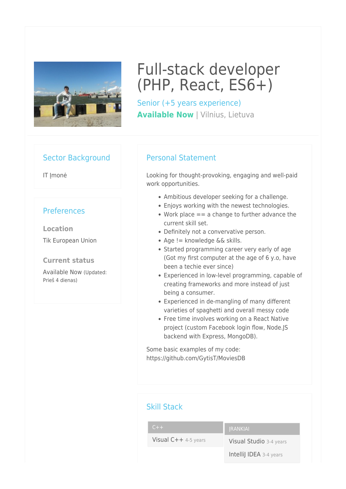

# Full-stack developer (PHP, React, ES6+)

Senior (+5 years experience) **Available Now | Vilnius, Lietuva** 

#### Sector Background

IT Imonė

## **Preferences**

**Location** Tik European Union

#### **Current status**

Available Now (Updated: Prieš 4 dienas)

## Personal Statement

Looking for thought-provoking, engaging and well-paid work opportunities.

- Ambitious developer seeking for a challenge.
- Enjoys working with the newest technologies.
- Work place  $== a$  change to further advance the current skill set.
- Definitely not a convervative person.
- Age != knowledge && skills.
- Started programming career very early of age (Got my first computer at the age of 6 y.o, have been a techie ever since)
- Experienced in low-level programming, capable of creating frameworks and more instead of just being a consumer.
- Experienced in de-mangling of many different varieties of spaghetti and overall messy code
- Free time involves working on a React Native project (custom Facebook login flow, Node.JS backend with Express, MongoDB).

Some basic examples of my code: https://github.com/GytisT/MoviesDB

| <b>Skill Stack</b>     |                         |
|------------------------|-------------------------|
| $C++$                  | <b>JRANKIAI</b>         |
| Visual $C++$ 4-5 years | Visual Studio 3-4 years |
|                        | Intellij IDEA 3-4 years |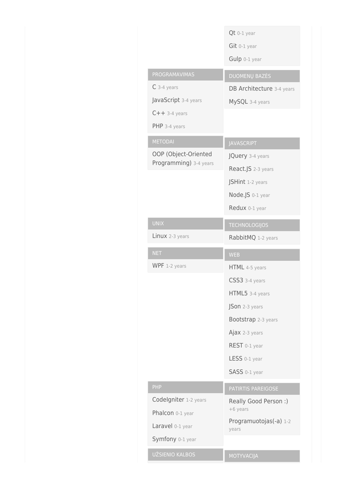|                        | Qt 0-1 year                     |
|------------------------|---------------------------------|
|                        | Git 0-1 year                    |
|                        | Gulp 0-1 year                   |
| PROGRAMAVIMAS          | <b>DUOMENŲ BAZĖS</b>            |
| $C$ 3-4 years          | DB Architecture 3-4 years       |
| JavaScript 3-4 years   | MySQL 3-4 years                 |
| $C++$ 3-4 years        |                                 |
| PHP 3-4 years          |                                 |
| <b>METODAI</b>         | <b>JAVASCRIPT</b>               |
| OOP (Object-Oriented   | JQuery 3-4 years                |
| Programming) 3-4 years | React.JS 2-3 years              |
|                        | JSHint 1-2 years                |
|                        | Node.JS 0-1 year                |
|                        | Redux 0-1 year                  |
| <b>UNIX</b>            | <b>TECHNOLOGIJOS</b>            |
| Linux 2-3 years        | RabbitMQ 1-2 years              |
|                        |                                 |
| <b>NET</b>             | <b>WEB</b>                      |
| WPF 1-2 years          | HTML 4-5 years                  |
|                        | CSS3 3-4 years                  |
|                        | HTML5 3-4 years                 |
|                        | JSon 2-3 years                  |
|                        | Bootstrap 2-3 years             |
|                        | Ajax 2-3 years                  |
|                        | REST 0-1 year                   |
|                        | LESS 0-1 year                   |
|                        | SASS 0-1 year                   |
| PHP                    | PATIRTIS PAREIGOSE              |
| Codelgniter 1-2 years  | Really Good Person :)           |
| Phalcon 0-1 year       | +6 years                        |
| Laravel 0-1 year       | Programuotojas(-a) 1-2<br>years |
| Symfony 0-1 year       |                                 |